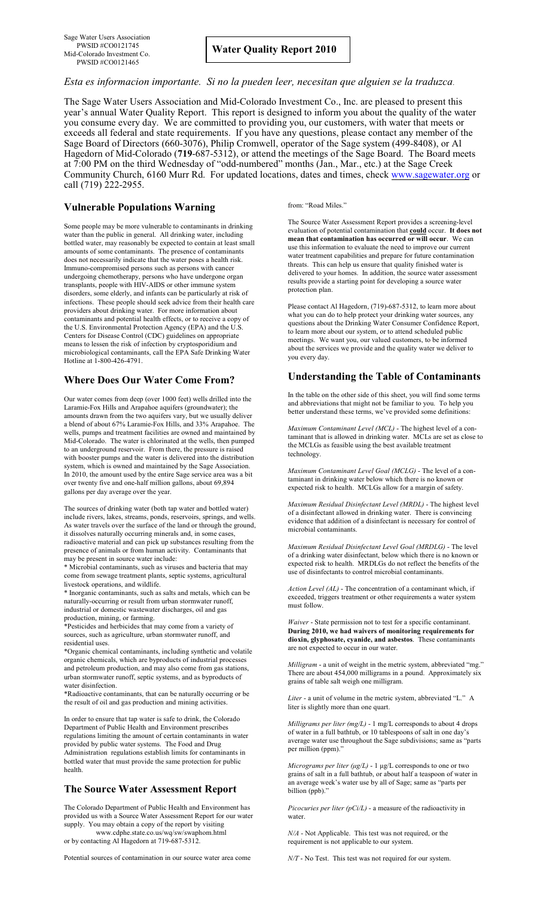Sage Water Users Association PWSID #CO0121745 Mid-Colorado Investment Co. PWSID #CO0121465

# *Esta es informacion importante. Si no la pueden leer, necesitan que alguien se la traduzca*.

The Sage Water Users Association and Mid-Colorado Investment Co., Inc. are pleased to present this year's annual Water Quality Report. This report is designed to inform you about the quality of the water you consume every day. We are committed to providing you, our customers, with water that meets or exceeds all federal and state requirements. If you have any questions, please contact any member of the Sage Board of Directors (660-3076), Philip Cromwell, operator of the Sage system (499-8408), or Al Hagedorn of Mid-Colorado (**719**-687-5312), or attend the meetings of the Sage Board. The Board meets at 7:00 PM on the third Wednesday of "odd-numbered" months (Jan., Mar., etc.) at the Sage Creek Community Church, 6160 Murr Rd. For updated locations, dates and times, check [www.sagewater.org](http://www.sagewater.org) or call (719) 222-2955.

#### **Vulnerable Populations Warning**

Some people may be more vulnerable to contaminants in drinking water than the public in general. All drinking water, including bottled water, may reasonably be expected to contain at least small amounts of some contaminants. The presence of contaminants does not necessarily indicate that the water poses a health risk. Immuno-compromised persons such as persons with cancer undergoing chemotherapy, persons who have undergone organ transplants, people with HIV-AIDS or other immune system disorders, some elderly, and infants can be particularly at risk of infections. These people should seek advice from their health care providers about drinking water. For more information about contaminants and potential health effects, or to receive a copy of the U.S. Environmental Protection Agency (EPA) and the U.S. Centers for Disease Control (CDC) guidelines on appropriate means to lessen the risk of infection by cryptosporidium and microbiological contaminants, call the EPA Safe Drinking Water Hotline at 1-800-426-4791.

## **Where Does Our Water Come From?**

Our water comes from deep (over 1000 feet) wells drilled into the Laramie-Fox Hills and Arapahoe aquifers (groundwater); the amounts drawn from the two aquifers vary, but we usually deliver a blend of about 67% Laramie-Fox Hills, and 33% Arapahoe. The wells, pumps and treatment facilities are owned and maintained by Mid-Colorado. The water is chlorinated at the wells, then pumped to an underground reservoir. From there, the pressure is raised with booster pumps and the water is delivered into the distribution system, which is owned and maintained by the Sage Association. In 2010, the amount used by the entire Sage service area was a bit over twenty five and one-half million gallons, about 69,894 gallons per day average over the year.

The sources of drinking water (both tap water and bottled water) include rivers, lakes, streams, ponds, reservoirs, springs, and wells. As water travels over the surface of the land or through the ground, it dissolves naturally occurring minerals and, in some cases radioactive material and can pick up substances resulting from the presence of animals or from human activity. Contaminants that may be present in source water include:

\* Microbial contaminants, such as viruses and bacteria that may come from sewage treatment plants, septic systems, agricultural livestock operations, and wildlife.

\* Inorganic contaminants, such as salts and metals, which can be naturally-occurring or result from urban stormwater runoff, industrial or domestic wastewater discharges, oil and gas production, mining, or farming.

\*Pesticides and herbicides that may come from a variety of sources, such as agriculture, urban stormwater runoff, and residential uses.

\*Organic chemical contaminants, including synthetic and volatile organic chemicals, which are byproducts of industrial processes and petroleum production, and may also come from gas stations, urban stormwater runoff, septic systems, and as byproducts of water disinfection.

\*Radioactive contaminants, that can be naturally occurring or be the result of oil and gas production and mining activities.

In order to ensure that tap water is safe to drink, the Colorado Department of Public Health and Environment prescribes regulations limiting the amount of certain contaminants in water provided by public water systems. The Food and Drug Administration regulations establish limits for contaminants in bottled water that must provide the same protection for public health.

## **The Source Water Assessment Report**

The Colorado Department of Public Health and Environment has provided us with a Source Water Assessment Report for our water supply. You may obtain a copy of the report by visiting www.cdphe.state.co.us/wq/sw/swaphom.html

or by contacting Al Hagedorn at 719-687-5312.

Potential sources of contamination in our source water area come

from: "Road Miles."

The Source Water Assessment Report provides a screening-level evaluation of potential contamination that **could** occur. **It does not mean that contamination has occurred or will occur**. We can use this information to evaluate the need to improve our current water treatment capabilities and prepare for future contamination threats. This can help us ensure that quality finished water is delivered to your homes. In addition, the source water assessment results provide a starting point for developing a source water protection plan.

Please contact Al Hagedorn, (719)-687-5312, to learn more about what you can do to help protect your drinking water sources, any questions about the Drinking Water Consumer Confidence Report, to learn more about our system, or to attend scheduled public meetings. We want you, our valued customers, to be informed about the services we provide and the quality water we deliver to you every day.

## **Understanding the Table of Contaminants**

In the table on the other side of this sheet, you will find some terms and abbreviations that might not be familiar to you. To help you better understand these terms, we've provided some definitions:

*Maximum Contaminant Level (MCL)* - The highest level of a contaminant that is allowed in drinking water. MCLs are set as close to the MCLGs as feasible using the best available treatment technology.

*Maximum Contaminant Level Goal (MCLG)* - The level of a contaminant in drinking water below which there is no known or expected risk to health. MCLGs allow for a margin of safety.

*Maximum Residual Disinfectant Level (MRDL)* - The highest level of a disinfectant allowed in drinking water. There is convincing evidence that addition of a disinfectant is necessary for control of microbial contaminants.

*Maximum Residual Disinfectant Level Goal (MRDLG)* - The level of a drinking water disinfectant, below which there is no known or expected risk to health. MRDLGs do not reflect the benefits of the use of disinfectants to control microbial contaminants.

*Action Level (AL)* - The concentration of a contaminant which, if exceeded, triggers treatment or other requirements a water system must follow.

*Waiver* - State permission not to test for a specific contaminant. **During 2010, we had waivers of monitoring requirements for dioxin, glyphosate, cyanide, and asbestos**. These contaminants are not expected to occur in our water.

*Milligram* - a unit of weight in the metric system, abbreviated "mg." There are about 454,000 milligrams in a pound. Approximately six grains of table salt weigh one milligram.

*Liter* - a unit of volume in the metric system, abbreviated "L." A liter is slightly more than one quart.

*Milligrams per liter (mg/L)* - 1 mg/L corresponds to about 4 drops of water in a full bathtub, or 10 tablespoons of salt in one day's average water use throughout the Sage subdivisions; same as "parts per million (ppm).'

*Micrograms per liter (* $\mu$ *g/L)* - 1  $\mu$ g/L corresponds to one or two grains of salt in a full bathtub, or about half a teaspoon of water in an average week's water use by all of Sage; same as "parts per billion (ppb)."

*Picocuries per liter (pCi/L)* - a measure of the radioactivity in water.

*N/A* - Not Applicable. This test was not required, or the requirement is not applicable to our system.

*N/T* - No Test. This test was not required for our system.